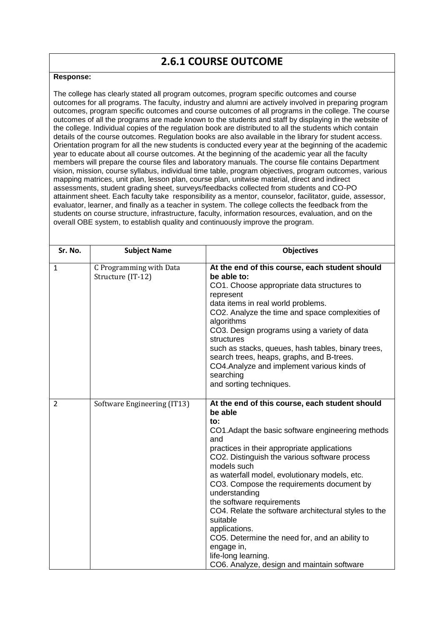## **2.6.1 COURSE OUTCOME**

## **Response:**

The college has clearly stated all program outcomes, program specific outcomes and course outcomes for all programs. The faculty, industry and alumni are actively involved in preparing program outcomes, program specific outcomes and course outcomes of all programs in the college. The course outcomes of all the programs are made known to the students and staff by displaying in the website of the college. Individual copies of the regulation book are distributed to all the students which contain details of the course outcomes. Regulation books are also available in the library for student access. Orientation program for all the new students is conducted every year at the beginning of the academic year to educate about all course outcomes. At the beginning of the academic year all the faculty members will prepare the course files and laboratory manuals. The course file contains Department vision, mission, course syllabus, individual time table, program objectives, program outcomes, various mapping matrices, unit plan, lesson plan, course plan, unitwise material, direct and indirect assessments, student grading sheet, surveys/feedbacks collected from students and CO-PO attainment sheet. Each faculty take responsibility as a mentor, counselor, facilitator, guide, assessor, evaluator, learner, and finally as a teacher in system. The college collects the feedback from the students on course structure, infrastructure, faculty, information resources, evaluation, and on the overall OBE system, to establish quality and continuously improve the program.

| Sr. No.        | <b>Subject Name</b>                          | <b>Objectives</b>                                                                                                                                                                                                                                                                                                                                                                                                                                                                                                                                                                                                 |
|----------------|----------------------------------------------|-------------------------------------------------------------------------------------------------------------------------------------------------------------------------------------------------------------------------------------------------------------------------------------------------------------------------------------------------------------------------------------------------------------------------------------------------------------------------------------------------------------------------------------------------------------------------------------------------------------------|
| 1              | C Programming with Data<br>Structure (IT-12) | At the end of this course, each student should<br>be able to:<br>CO1. Choose appropriate data structures to<br>represent<br>data items in real world problems.<br>CO2. Analyze the time and space complexities of<br>algorithms<br>CO3. Design programs using a variety of data<br>structures<br>such as stacks, queues, hash tables, binary trees,<br>search trees, heaps, graphs, and B-trees.<br>CO4. Analyze and implement various kinds of<br>searching<br>and sorting techniques.                                                                                                                           |
| $\overline{2}$ | Software Engineering (IT13)                  | At the end of this course, each student should<br>be able<br>to:<br>CO1. Adapt the basic software engineering methods<br>and<br>practices in their appropriate applications<br>CO2. Distinguish the various software process<br>models such<br>as waterfall model, evolutionary models, etc.<br>CO3. Compose the requirements document by<br>understanding<br>the software requirements<br>CO4. Relate the software architectural styles to the<br>suitable<br>applications.<br>CO5. Determine the need for, and an ability to<br>engage in,<br>life-long learning.<br>CO6. Analyze, design and maintain software |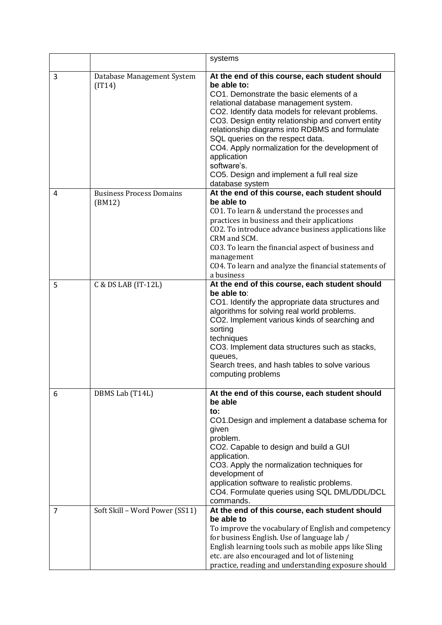|   |                                           | systems                                                                                                                                                                                                                                                                                                                                                                                                                                                                                               |
|---|-------------------------------------------|-------------------------------------------------------------------------------------------------------------------------------------------------------------------------------------------------------------------------------------------------------------------------------------------------------------------------------------------------------------------------------------------------------------------------------------------------------------------------------------------------------|
| 3 | Database Management System<br>(IT14)      | At the end of this course, each student should<br>be able to:<br>CO1. Demonstrate the basic elements of a<br>relational database management system.<br>CO2. Identify data models for relevant problems.<br>CO3. Design entity relationship and convert entity<br>relationship diagrams into RDBMS and formulate<br>SQL queries on the respect data.<br>CO4. Apply normalization for the development of<br>application<br>software's.<br>CO5. Design and implement a full real size<br>database system |
| 4 | <b>Business Process Domains</b><br>(BM12) | At the end of this course, each student should<br>be able to<br>CO1. To learn & understand the processes and<br>practices in business and their applications<br>CO2. To introduce advance business applications like<br>CRM and SCM.<br>CO3. To learn the financial aspect of business and<br>management<br>CO4. To learn and analyze the financial statements of<br>a business                                                                                                                       |
| 5 | C & DS LAB (IT-12L)                       | At the end of this course, each student should<br>be able to:<br>CO1. Identify the appropriate data structures and<br>algorithms for solving real world problems.<br>CO2. Implement various kinds of searching and<br>sorting<br>techniques<br>CO3. Implement data structures such as stacks,<br>queues,<br>Search trees, and hash tables to solve various<br>computing problems                                                                                                                      |
| 6 | DBMS Lab (T14L)                           | At the end of this course, each student should<br>be able<br>to:<br>CO1. Design and implement a database schema for<br>given<br>problem.<br>CO2. Capable to design and build a GUI<br>application.<br>CO3. Apply the normalization techniques for<br>development of<br>application software to realistic problems.<br>CO4. Formulate queries using SQL DML/DDL/DCL<br>commands.                                                                                                                       |
| 7 | Soft Skill - Word Power (SS11)            | At the end of this course, each student should<br>be able to<br>To improve the vocabulary of English and competency<br>for business English. Use of language lab /<br>English learning tools such as mobile apps like Sling<br>etc. are also encouraged and lot of listening<br>practice, reading and understanding exposure should                                                                                                                                                                   |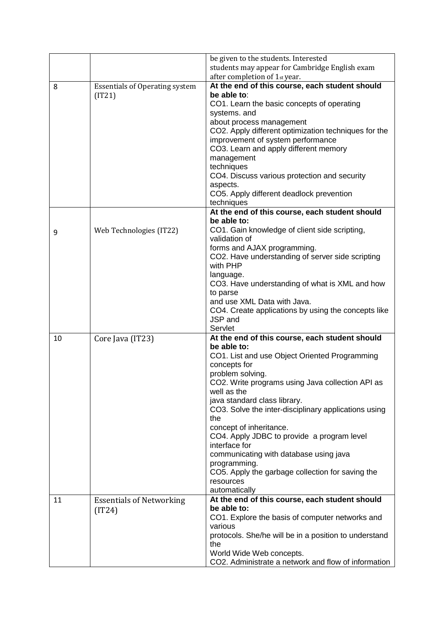|    |                                           | be given to the students. Interested                                             |
|----|-------------------------------------------|----------------------------------------------------------------------------------|
|    |                                           | students may appear for Cambridge English exam<br>after completion of 1st year.  |
| 8  | <b>Essentials of Operating system</b>     | At the end of this course, each student should                                   |
|    | (IT21)                                    | be able to:                                                                      |
|    |                                           | CO1. Learn the basic concepts of operating                                       |
|    |                                           | systems. and                                                                     |
|    |                                           | about process management<br>CO2. Apply different optimization techniques for the |
|    |                                           | improvement of system performance                                                |
|    |                                           | CO3. Learn and apply different memory                                            |
|    |                                           | management                                                                       |
|    |                                           | techniques                                                                       |
|    |                                           | CO4. Discuss various protection and security                                     |
|    |                                           | aspects.<br>CO5. Apply different deadlock prevention                             |
|    |                                           | techniques                                                                       |
|    |                                           | At the end of this course, each student should                                   |
|    |                                           | be able to:                                                                      |
| 9  | Web Technologies (IT22)                   | CO1. Gain knowledge of client side scripting,<br>validation of                   |
|    |                                           | forms and AJAX programming.                                                      |
|    |                                           | CO2. Have understanding of server side scripting<br>with PHP                     |
|    |                                           | language.                                                                        |
|    |                                           | CO3. Have understanding of what is XML and how                                   |
|    |                                           | to parse                                                                         |
|    |                                           | and use XML Data with Java.                                                      |
|    |                                           | CO4. Create applications by using the concepts like<br>JSP and                   |
|    |                                           | Servlet                                                                          |
| 10 | Core Java (IT23)                          | At the end of this course, each student should                                   |
|    |                                           | be able to:                                                                      |
|    |                                           | CO1. List and use Object Oriented Programming<br>concepts for                    |
|    |                                           | problem solving.                                                                 |
|    |                                           | CO2. Write programs using Java collection API as                                 |
|    |                                           | well as the                                                                      |
|    |                                           | java standard class library.                                                     |
|    |                                           | CO3. Solve the inter-disciplinary applications using<br>the                      |
|    |                                           | concept of inheritance.                                                          |
|    |                                           | CO4. Apply JDBC to provide a program level<br>interface for                      |
|    |                                           | communicating with database using java                                           |
|    |                                           | programming.                                                                     |
|    |                                           | CO5. Apply the garbage collection for saving the                                 |
|    |                                           | resources                                                                        |
| 11 |                                           | automatically<br>At the end of this course, each student should                  |
|    | <b>Essentials of Networking</b><br>(IT24) | be able to:                                                                      |
|    |                                           | CO1. Explore the basis of computer networks and                                  |
|    |                                           | various                                                                          |
|    |                                           | protocols. She/he will be in a position to understand<br>the                     |
|    |                                           | World Wide Web concepts.                                                         |
|    |                                           | CO2. Administrate a network and flow of information                              |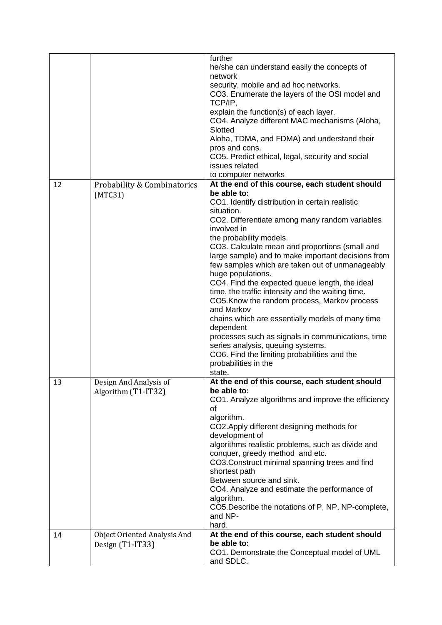|    |                                     | further                                                  |
|----|-------------------------------------|----------------------------------------------------------|
|    |                                     | he/she can understand easily the concepts of             |
|    |                                     | network                                                  |
|    |                                     | security, mobile and ad hoc networks.                    |
|    |                                     | CO3. Enumerate the layers of the OSI model and           |
|    |                                     | TCP/IP,                                                  |
|    |                                     | explain the function(s) of each layer.                   |
|    |                                     | CO4. Analyze different MAC mechanisms (Aloha,            |
|    |                                     | Slotted                                                  |
|    |                                     | Aloha, TDMA, and FDMA) and understand their              |
|    |                                     | pros and cons.                                           |
|    |                                     | CO5. Predict ethical, legal, security and social         |
|    |                                     | issues related                                           |
|    |                                     | to computer networks                                     |
| 12 | Probability & Combinatorics         | At the end of this course, each student should           |
|    | (MTC31)                             | be able to:                                              |
|    |                                     | CO1. Identify distribution in certain realistic          |
|    |                                     | situation.                                               |
|    |                                     | CO2. Differentiate among many random variables           |
|    |                                     | involved in                                              |
|    |                                     | the probability models.                                  |
|    |                                     | CO3. Calculate mean and proportions (small and           |
|    |                                     | large sample) and to make important decisions from       |
|    |                                     | few samples which are taken out of unmanageably          |
|    |                                     | huge populations.                                        |
|    |                                     | CO4. Find the expected queue length, the ideal           |
|    |                                     | time, the traffic intensity and the waiting time.        |
|    |                                     | CO5. Know the random process, Markov process             |
|    |                                     | and Markov                                               |
|    |                                     | chains which are essentially models of many time         |
|    |                                     | dependent                                                |
|    |                                     | processes such as signals in communications, time        |
|    |                                     | series analysis, queuing systems.                        |
|    |                                     | CO6. Find the limiting probabilities and the             |
|    |                                     | probabilities in the                                     |
|    |                                     | state.<br>At the end of this course, each student should |
| 13 | Design And Analysis of              | be able to:                                              |
|    | Algorithm (T1-IT32)                 | CO1. Analyze algorithms and improve the efficiency       |
|    |                                     | οf                                                       |
|    |                                     | algorithm.                                               |
|    |                                     | CO2. Apply different designing methods for               |
|    |                                     | development of                                           |
|    |                                     | algorithms realistic problems, such as divide and        |
|    |                                     | conquer, greedy method and etc.                          |
|    |                                     | CO3.Construct minimal spanning trees and find            |
|    |                                     | shortest path                                            |
|    |                                     | Between source and sink.                                 |
|    |                                     | CO4. Analyze and estimate the performance of             |
|    |                                     | algorithm.                                               |
|    |                                     | CO5. Describe the notations of P, NP, NP-complete,       |
|    |                                     | and NP-                                                  |
|    |                                     | hard.                                                    |
| 14 | <b>Object Oriented Analysis And</b> | At the end of this course, each student should           |
|    | Design (T1-IT33)                    | be able to:                                              |
|    |                                     | CO1. Demonstrate the Conceptual model of UML             |
|    |                                     | and SDLC.                                                |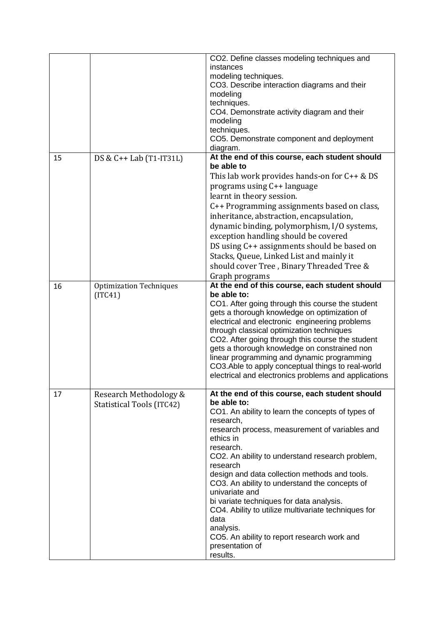|         |                                  | CO2. Define classes modeling techniques and<br>instances                                                   |
|---------|----------------------------------|------------------------------------------------------------------------------------------------------------|
|         |                                  | modeling techniques.                                                                                       |
|         |                                  | CO3. Describe interaction diagrams and their                                                               |
|         |                                  | modeling                                                                                                   |
|         |                                  | techniques.                                                                                                |
|         |                                  | CO4. Demonstrate activity diagram and their<br>modeling                                                    |
|         |                                  | techniques.                                                                                                |
|         |                                  | CO5. Demonstrate component and deployment                                                                  |
|         |                                  | diagram.                                                                                                   |
| 15      | DS & C++ Lab (T1-IT31L)          | At the end of this course, each student should<br>be able to                                               |
|         |                                  | This lab work provides hands-on for $C++&DS$                                                               |
|         |                                  | programs using C++ language                                                                                |
|         |                                  | learnt in theory session.                                                                                  |
|         |                                  | C++ Programming assignments based on class,                                                                |
|         |                                  | inheritance, abstraction, encapsulation,                                                                   |
|         |                                  | dynamic binding, polymorphism, I/O systems,                                                                |
|         |                                  | exception handling should be covered                                                                       |
|         |                                  | DS using C++ assignments should be based on                                                                |
|         |                                  | Stacks, Queue, Linked List and mainly it                                                                   |
|         |                                  | should cover Tree, Binary Threaded Tree &<br>Graph programs                                                |
| 16      | <b>Optimization Techniques</b>   | At the end of this course, each student should                                                             |
| (ITC41) |                                  | be able to:                                                                                                |
|         |                                  | CO1. After going through this course the student                                                           |
|         |                                  | gets a thorough knowledge on optimization of<br>electrical and electronic engineering problems             |
|         |                                  | through classical optimization techniques                                                                  |
|         |                                  | CO2. After going through this course the student                                                           |
|         |                                  | gets a thorough knowledge on constrained non                                                               |
|         |                                  | linear programming and dynamic programming                                                                 |
|         |                                  | CO3. Able to apply conceptual things to real-world<br>electrical and electronics problems and applications |
|         |                                  |                                                                                                            |
| 17      | Research Methodology &           | At the end of this course, each student should<br>be able to:                                              |
|         | <b>Statistical Tools (ITC42)</b> | CO1. An ability to learn the concepts of types of                                                          |
|         |                                  | research,                                                                                                  |
|         |                                  | research process, measurement of variables and                                                             |
|         |                                  | ethics in<br>research.                                                                                     |
|         |                                  | CO2. An ability to understand research problem,                                                            |
|         |                                  | research                                                                                                   |
|         |                                  | design and data collection methods and tools.                                                              |
|         |                                  | CO3. An ability to understand the concepts of                                                              |
|         |                                  | univariate and<br>bi variate techniques for data analysis.                                                 |
|         |                                  | CO4. Ability to utilize multivariate techniques for                                                        |
|         |                                  | data                                                                                                       |
|         |                                  | analysis.                                                                                                  |
|         |                                  | CO5. An ability to report research work and                                                                |
|         |                                  | presentation of<br>results.                                                                                |